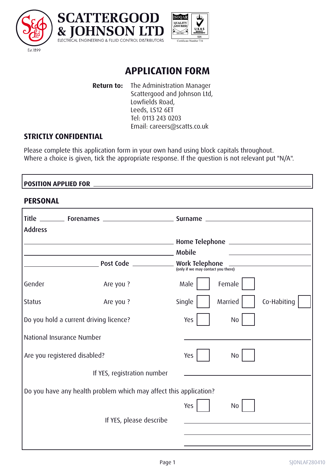





# **APPLICATION FORM**

**Return to:** The Administration Manager Scattergood and Johnson Ltd, Lowfields Road, Leeds, LS12 6ET Tel: 0113 243 0203 Email: careers@scatts.co.uk

# **STRICTLY CONFIDENTIAL**

Please complete this application form in your own hand using block capitals throughout. Where a choice is given, tick the appropriate response. If the question is not relevant put "N/A".

### **POSITION APPLIED FOR**

### **PERSONAL**

|                                                                   | Title _________ Forenames _____________________________ Surname _ |        |                |             |
|-------------------------------------------------------------------|-------------------------------------------------------------------|--------|----------------|-------------|
| <b>Address</b>                                                    |                                                                   |        |                |             |
|                                                                   | <b>Example 2018</b> Mobile                                        |        |                |             |
|                                                                   |                                                                   |        |                |             |
| Gender                                                            | Are you ?                                                         | Male   | Female         |             |
| <b>Status</b>                                                     | Are you ?                                                         | Single | Married        | Co-Habiting |
|                                                                   | Do you hold a current driving licence?                            | Yes    | <b>No</b>      |             |
| National Insurance Number                                         |                                                                   |        |                |             |
| Are you registered disabled?                                      |                                                                   | Yes    | No             |             |
|                                                                   | If YES, registration number                                       |        |                |             |
| Do you have any health problem which may affect this application? |                                                                   |        |                |             |
|                                                                   |                                                                   | Yes    | N <sub>0</sub> |             |
|                                                                   | If YES, please describe                                           |        |                |             |
|                                                                   |                                                                   |        |                |             |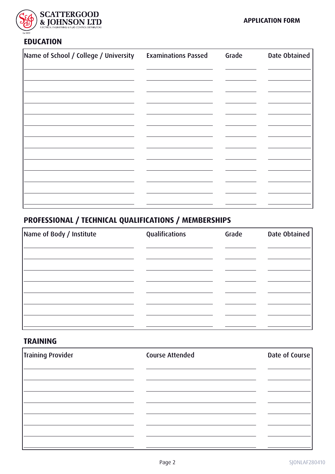

# **EDUCATION**

| Name of School / College / University | <b>Examinations Passed</b> | Grade | Date Obtained |
|---------------------------------------|----------------------------|-------|---------------|
|                                       |                            |       |               |
|                                       |                            |       |               |
|                                       |                            |       |               |
|                                       |                            |       |               |
|                                       |                            |       |               |
|                                       |                            |       |               |
|                                       |                            |       |               |
|                                       |                            |       |               |
|                                       |                            |       |               |
|                                       |                            |       |               |
|                                       |                            |       |               |

# **PROFESSIONAL / TECHNICAL QUALIFICATIONS / MEMBERSHIPS**

| Name of Body / Institute | Qualifications | Grade | Date Obtained |
|--------------------------|----------------|-------|---------------|
|                          |                |       |               |
|                          |                |       |               |
|                          |                |       |               |
|                          |                |       |               |
|                          |                |       |               |
|                          |                |       |               |

### **TRAINING**

| Training Provider | <b>Course Attended</b> | Date of Course |
|-------------------|------------------------|----------------|
|                   |                        |                |
|                   |                        |                |
|                   |                        |                |
|                   |                        |                |
|                   |                        |                |
|                   |                        |                |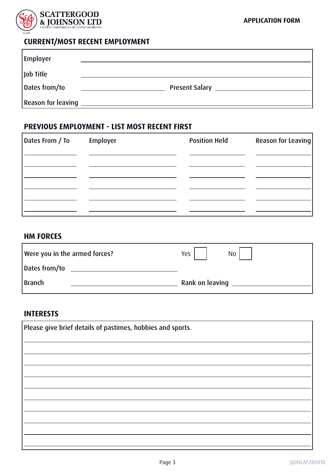

# **CURRENT/MOST RECENT EMPLOYMENT**

| <b>Employer</b>    |                       |
|--------------------|-----------------------|
| Job Title          |                       |
| Dates from/to      | <b>Present Salary</b> |
| Reason for leaving |                       |

#### **PREVIOUS EMPLOYMENT - LIST MOST RECENT FIRST**

| Dates From / To | Employer | <b>Position Held</b> | Reason for Leaving |
|-----------------|----------|----------------------|--------------------|
|                 |          |                      |                    |
|                 |          |                      |                    |
|                 |          |                      |                    |
|                 |          |                      |                    |
|                 |          |                      |                    |

#### **HM FORCES**

| Were you in the armed forces? | Yes  <br>No <sub>1</sub> |
|-------------------------------|--------------------------|
| Dates from/to                 |                          |
| Branch                        | Rank on leaving          |

# **INTERESTS**

| Please give brief details of pastimes, hobbies and sports. |  |  |
|------------------------------------------------------------|--|--|
|                                                            |  |  |
|                                                            |  |  |
|                                                            |  |  |
|                                                            |  |  |
|                                                            |  |  |
|                                                            |  |  |
|                                                            |  |  |